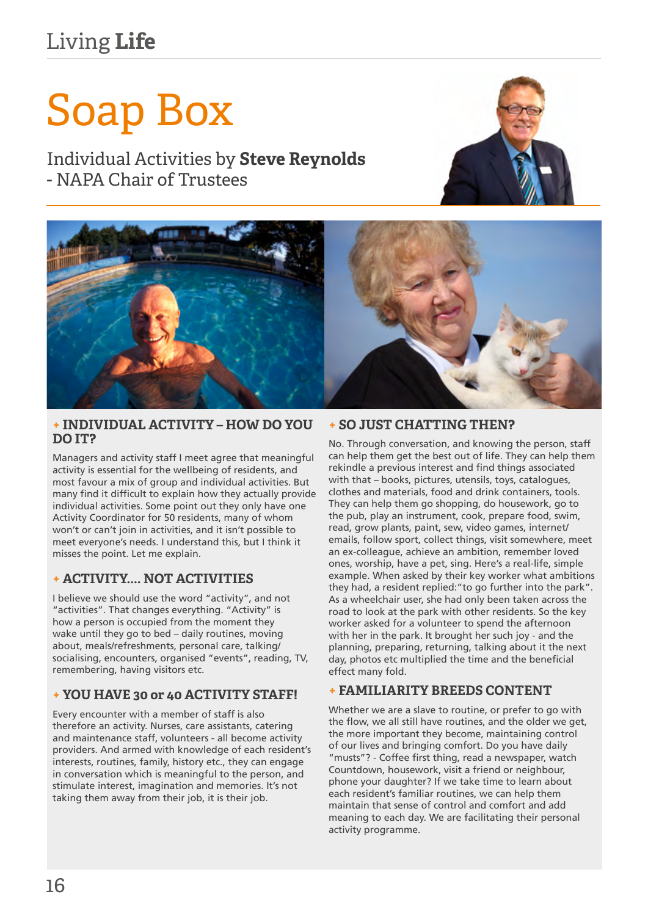# Living **Life**

# Soap Box

Individual Activities by **Steve Reynolds** - NAPA Chair of Trustees





#### **+ INDIVIDUAL ACTIVITY – HOW DO YOU DO IT?**

Managers and activity staff I meet agree that meaningful activity is essential for the wellbeing of residents, and most favour a mix of group and individual activities. But many find it difficult to explain how they actually provide individual activities. Some point out they only have one Activity Coordinator for 50 residents, many of whom won't or can't join in activities, and it isn't possible to meet everyone's needs. I understand this, but I think it misses the point. Let me explain.

# **+ ACTIVITY.... NOT ACTIVITIES**

I believe we should use the word "activity", and not "activities". That changes everything. "Activity" is how a person is occupied from the moment they wake until they go to bed – daily routines, moving about, meals/refreshments, personal care, talking/ socialising, encounters, organised "events", reading, TV, remembering, having visitors etc.

# **+ YOU HAVE 30 or 40 ACTIVITY STAFF!**

Every encounter with a member of staff is also therefore an activity. Nurses, care assistants, catering and maintenance staff, volunteers - all become activity providers. And armed with knowledge of each resident's interests, routines, family, history etc., they can engage in conversation which is meaningful to the person, and stimulate interest, imagination and memories. It's not taking them away from their job, it is their job.

#### **+ SO JUST CHATTING THEN?**

No. Through conversation, and knowing the person, staff can help them get the best out of life. They can help them rekindle a previous interest and find things associated with that – books, pictures, utensils, toys, catalogues, clothes and materials, food and drink containers, tools. They can help them go shopping, do housework, go to the pub, play an instrument, cook, prepare food, swim, read, grow plants, paint, sew, video games, internet/ emails, follow sport, collect things, visit somewhere, meet an ex-colleague, achieve an ambition, remember loved ones, worship, have a pet, sing. Here's a real-life, simple example. When asked by their key worker what ambitions they had, a resident replied:"to go further into the park". As a wheelchair user, she had only been taken across the road to look at the park with other residents. So the key worker asked for a volunteer to spend the afternoon with her in the park. It brought her such joy - and the planning, preparing, returning, talking about it the next day, photos etc multiplied the time and the beneficial effect many fold.

# **+ FAMILIARITY BREEDS CONTENT**

Whether we are a slave to routine, or prefer to go with the flow, we all still have routines, and the older we get, the more important they become, maintaining control of our lives and bringing comfort. Do you have daily "musts"? - Coffee first thing, read a newspaper, watch Countdown, housework, visit a friend or neighbour, phone your daughter? If we take time to learn about each resident's familiar routines, we can help them maintain that sense of control and comfort and add meaning to each day. We are facilitating their personal activity programme.